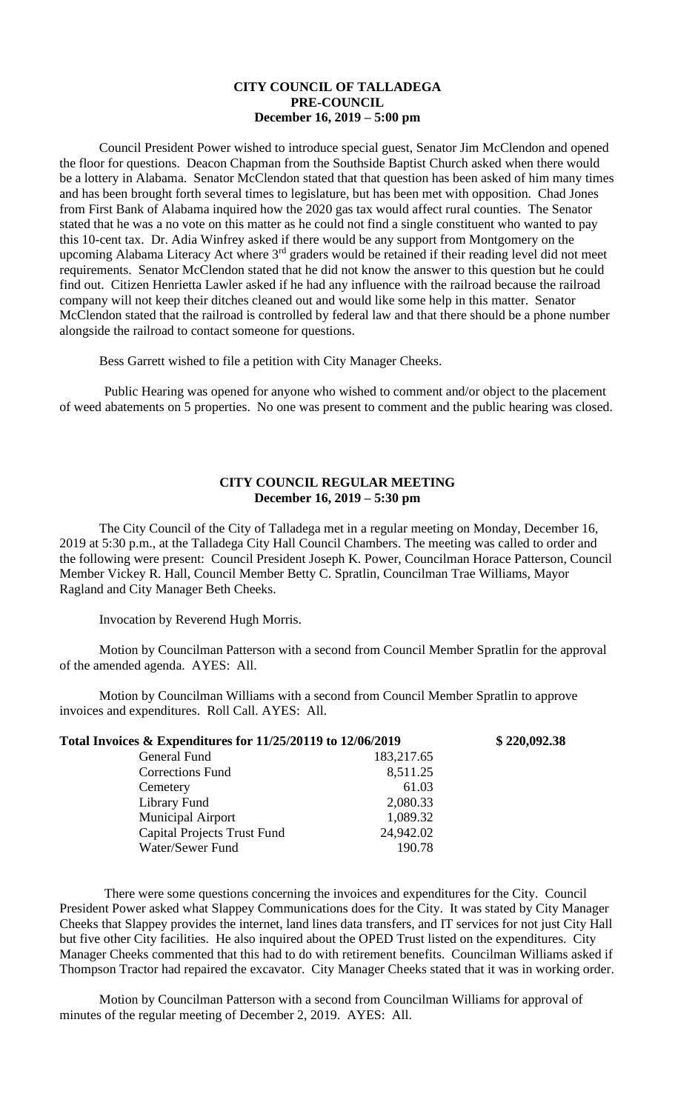## **CITY COUNCIL OF TALLADEGA PRE-COUNCIL December 16, 2019 – 5:00 pm**

Council President Power wished to introduce special guest, Senator Jim McClendon and opened the floor for questions. Deacon Chapman from the Southside Baptist Church asked when there would be a lottery in Alabama. Senator McClendon stated that that question has been asked of him many times and has been brought forth several times to legislature, but has been met with opposition. Chad Jones from First Bank of Alabama inquired how the 2020 gas tax would affect rural counties. The Senator stated that he was a no vote on this matter as he could not find a single constituent who wanted to pay this 10-cent tax. Dr. Adia Winfrey asked if there would be any support from Montgomery on the upcoming Alabama Literacy Act where 3<sup>rd</sup> graders would be retained if their reading level did not meet requirements. Senator McClendon stated that he did not know the answer to this question but he could find out. Citizen Henrietta Lawler asked if he had any influence with the railroad because the railroad company will not keep their ditches cleaned out and would like some help in this matter. Senator McClendon stated that the railroad is controlled by federal law and that there should be a phone number alongside the railroad to contact someone for questions.

Bess Garrett wished to file a petition with City Manager Cheeks.

Public Hearing was opened for anyone who wished to comment and/or object to the placement of weed abatements on 5 properties. No one was present to comment and the public hearing was closed.

## **CITY COUNCIL REGULAR MEETING December 16, 2019 – 5:30 pm**

The City Council of the City of Talladega met in a regular meeting on Monday, December 16, 2019 at 5:30 p.m., at the Talladega City Hall Council Chambers. The meeting was called to order and the following were present: Council President Joseph K. Power, Councilman Horace Patterson, Council Member Vickey R. Hall, Council Member Betty C. Spratlin, Councilman Trae Williams, Mayor Ragland and City Manager Beth Cheeks.

Invocation by Reverend Hugh Morris.

Motion by Councilman Patterson with a second from Council Member Spratlin for the approval of the amended agenda. AYES: All.

Motion by Councilman Williams with a second from Council Member Spratlin to approve invoices and expenditures. Roll Call. AYES: All.

| Total Invoices & Expenditures for 11/25/20119 to 12/06/2019 |            | \$220,092.38 |
|-------------------------------------------------------------|------------|--------------|
| General Fund                                                | 183,217.65 |              |
| <b>Corrections Fund</b>                                     | 8,511.25   |              |
| Cemetery                                                    | 61.03      |              |
| Library Fund                                                | 2,080.33   |              |
| <b>Municipal Airport</b>                                    | 1,089.32   |              |
| <b>Capital Projects Trust Fund</b>                          | 24,942.02  |              |
| Water/Sewer Fund                                            | 190.78     |              |

There were some questions concerning the invoices and expenditures for the City. Council President Power asked what Slappey Communications does for the City. It was stated by City Manager Cheeks that Slappey provides the internet, land lines data transfers, and IT services for not just City Hall but five other City facilities. He also inquired about the OPED Trust listed on the expenditures. City Manager Cheeks commented that this had to do with retirement benefits. Councilman Williams asked if Thompson Tractor had repaired the excavator. City Manager Cheeks stated that it was in working order.

Motion by Councilman Patterson with a second from Councilman Williams for approval of minutes of the regular meeting of December 2, 2019. AYES: All.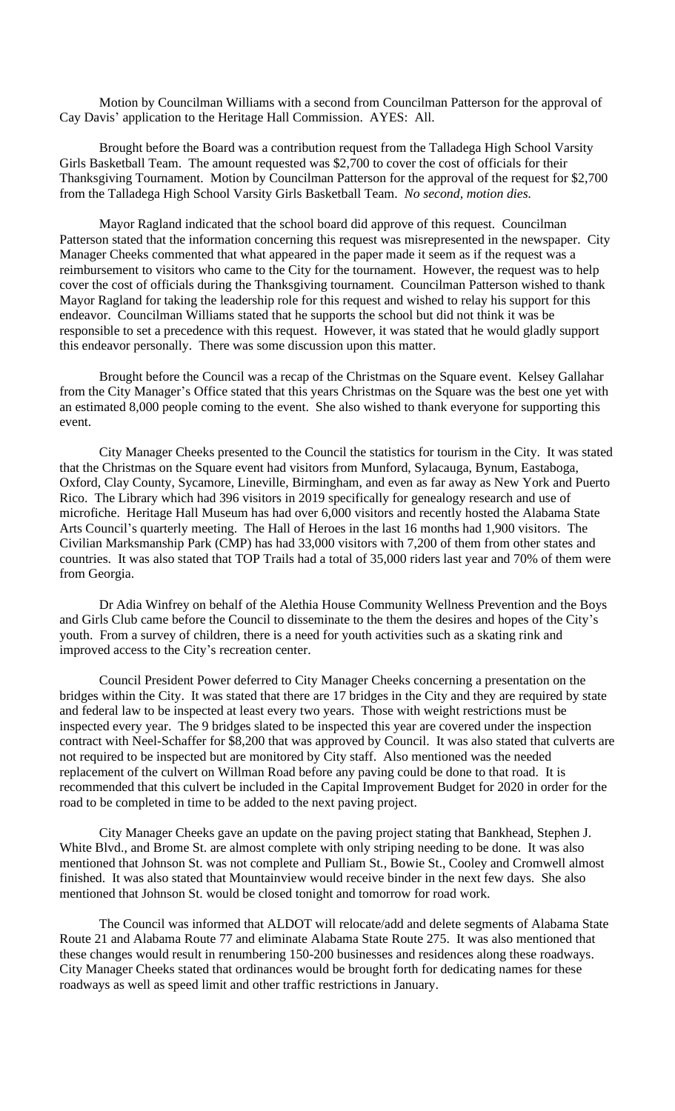Motion by Councilman Williams with a second from Councilman Patterson for the approval of Cay Davis' application to the Heritage Hall Commission. AYES: All.

Brought before the Board was a contribution request from the Talladega High School Varsity Girls Basketball Team. The amount requested was \$2,700 to cover the cost of officials for their Thanksgiving Tournament. Motion by Councilman Patterson for the approval of the request for \$2,700 from the Talladega High School Varsity Girls Basketball Team. *No second, motion dies.*

Mayor Ragland indicated that the school board did approve of this request. Councilman Patterson stated that the information concerning this request was misrepresented in the newspaper. City Manager Cheeks commented that what appeared in the paper made it seem as if the request was a reimbursement to visitors who came to the City for the tournament. However, the request was to help cover the cost of officials during the Thanksgiving tournament. Councilman Patterson wished to thank Mayor Ragland for taking the leadership role for this request and wished to relay his support for this endeavor. Councilman Williams stated that he supports the school but did not think it was be responsible to set a precedence with this request. However, it was stated that he would gladly support this endeavor personally. There was some discussion upon this matter.

Brought before the Council was a recap of the Christmas on the Square event. Kelsey Gallahar from the City Manager's Office stated that this years Christmas on the Square was the best one yet with an estimated 8,000 people coming to the event. She also wished to thank everyone for supporting this event.

City Manager Cheeks presented to the Council the statistics for tourism in the City. It was stated that the Christmas on the Square event had visitors from Munford, Sylacauga, Bynum, Eastaboga, Oxford, Clay County, Sycamore, Lineville, Birmingham, and even as far away as New York and Puerto Rico. The Library which had 396 visitors in 2019 specifically for genealogy research and use of microfiche. Heritage Hall Museum has had over 6,000 visitors and recently hosted the Alabama State Arts Council's quarterly meeting. The Hall of Heroes in the last 16 months had 1,900 visitors. The Civilian Marksmanship Park (CMP) has had 33,000 visitors with 7,200 of them from other states and countries. It was also stated that TOP Trails had a total of 35,000 riders last year and 70% of them were from Georgia.

Dr Adia Winfrey on behalf of the Alethia House Community Wellness Prevention and the Boys and Girls Club came before the Council to disseminate to the them the desires and hopes of the City's youth. From a survey of children, there is a need for youth activities such as a skating rink and improved access to the City's recreation center.

Council President Power deferred to City Manager Cheeks concerning a presentation on the bridges within the City. It was stated that there are 17 bridges in the City and they are required by state and federal law to be inspected at least every two years. Those with weight restrictions must be inspected every year. The 9 bridges slated to be inspected this year are covered under the inspection contract with Neel-Schaffer for \$8,200 that was approved by Council. It was also stated that culverts are not required to be inspected but are monitored by City staff. Also mentioned was the needed replacement of the culvert on Willman Road before any paving could be done to that road. It is recommended that this culvert be included in the Capital Improvement Budget for 2020 in order for the road to be completed in time to be added to the next paving project.

City Manager Cheeks gave an update on the paving project stating that Bankhead, Stephen J. White Blvd., and Brome St. are almost complete with only striping needing to be done. It was also mentioned that Johnson St. was not complete and Pulliam St., Bowie St., Cooley and Cromwell almost finished. It was also stated that Mountainview would receive binder in the next few days. She also mentioned that Johnson St. would be closed tonight and tomorrow for road work.

The Council was informed that ALDOT will relocate/add and delete segments of Alabama State Route 21 and Alabama Route 77 and eliminate Alabama State Route 275. It was also mentioned that these changes would result in renumbering 150-200 businesses and residences along these roadways. City Manager Cheeks stated that ordinances would be brought forth for dedicating names for these roadways as well as speed limit and other traffic restrictions in January.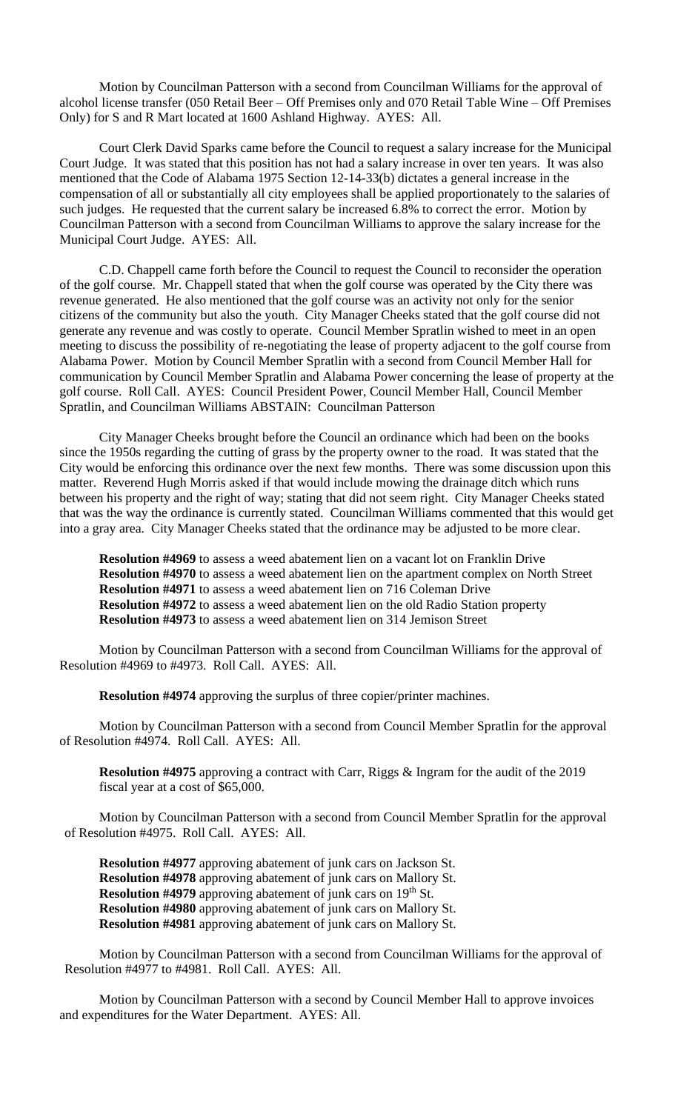Motion by Councilman Patterson with a second from Councilman Williams for the approval of alcohol license transfer (050 Retail Beer – Off Premises only and 070 Retail Table Wine – Off Premises Only) for S and R Mart located at 1600 Ashland Highway. AYES: All.

Court Clerk David Sparks came before the Council to request a salary increase for the Municipal Court Judge. It was stated that this position has not had a salary increase in over ten years. It was also mentioned that the Code of Alabama 1975 Section 12-14-33(b) dictates a general increase in the compensation of all or substantially all city employees shall be applied proportionately to the salaries of such judges. He requested that the current salary be increased 6.8% to correct the error. Motion by Councilman Patterson with a second from Councilman Williams to approve the salary increase for the Municipal Court Judge. AYES: All.

C.D. Chappell came forth before the Council to request the Council to reconsider the operation of the golf course. Mr. Chappell stated that when the golf course was operated by the City there was revenue generated. He also mentioned that the golf course was an activity not only for the senior citizens of the community but also the youth. City Manager Cheeks stated that the golf course did not generate any revenue and was costly to operate. Council Member Spratlin wished to meet in an open meeting to discuss the possibility of re-negotiating the lease of property adjacent to the golf course from Alabama Power. Motion by Council Member Spratlin with a second from Council Member Hall for communication by Council Member Spratlin and Alabama Power concerning the lease of property at the golf course. Roll Call. AYES: Council President Power, Council Member Hall, Council Member Spratlin, and Councilman Williams ABSTAIN: Councilman Patterson

City Manager Cheeks brought before the Council an ordinance which had been on the books since the 1950s regarding the cutting of grass by the property owner to the road. It was stated that the City would be enforcing this ordinance over the next few months. There was some discussion upon this matter. Reverend Hugh Morris asked if that would include mowing the drainage ditch which runs between his property and the right of way; stating that did not seem right. City Manager Cheeks stated that was the way the ordinance is currently stated. Councilman Williams commented that this would get into a gray area. City Manager Cheeks stated that the ordinance may be adjusted to be more clear.

**Resolution #4969** to assess a weed abatement lien on a vacant lot on Franklin Drive **Resolution #4970** to assess a weed abatement lien on the apartment complex on North Street **Resolution #4971** to assess a weed abatement lien on 716 Coleman Drive **Resolution #4972** to assess a weed abatement lien on the old Radio Station property **Resolution #4973** to assess a weed abatement lien on 314 Jemison Street

Motion by Councilman Patterson with a second from Councilman Williams for the approval of Resolution #4969 to #4973. Roll Call. AYES: All.

**Resolution #4974** approving the surplus of three copier/printer machines.

Motion by Councilman Patterson with a second from Council Member Spratlin for the approval of Resolution #4974. Roll Call. AYES: All.

**Resolution #4975** approving a contract with Carr, Riggs & Ingram for the audit of the 2019 fiscal year at a cost of \$65,000.

Motion by Councilman Patterson with a second from Council Member Spratlin for the approval of Resolution #4975. Roll Call. AYES: All.

**Resolution #4977** approving abatement of junk cars on Jackson St. **Resolution #4978** approving abatement of junk cars on Mallory St. **Resolution #4979** approving abatement of junk cars on 19<sup>th</sup> St. **Resolution #4980** approving abatement of junk cars on Mallory St. **Resolution #4981** approving abatement of junk cars on Mallory St.

Motion by Councilman Patterson with a second from Councilman Williams for the approval of Resolution #4977 to #4981. Roll Call. AYES: All.

Motion by Councilman Patterson with a second by Council Member Hall to approve invoices and expenditures for the Water Department. AYES: All.